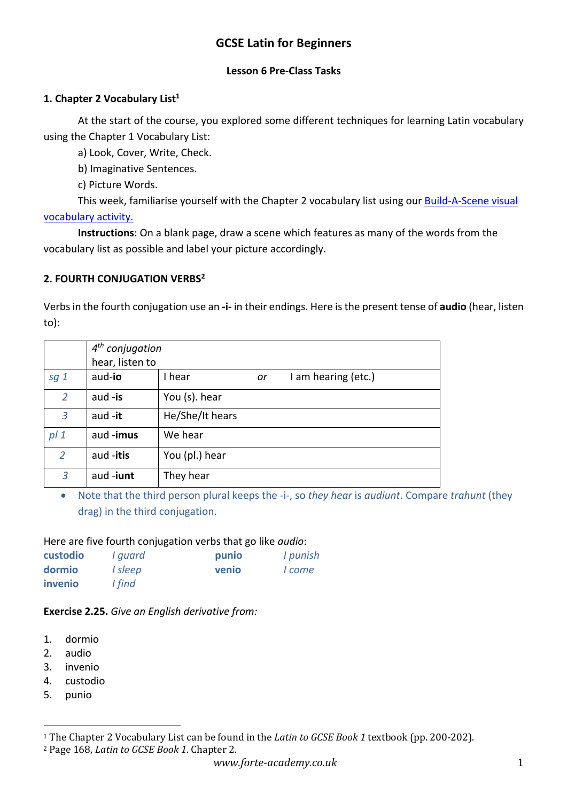# **GCSE Latin for Beginners**

#### **Lesson 6 Pre-Class Tasks**

### **1. Chapter 2 Vocabulary List1**

At the start of the course, you explored some different techniques for learning Latin vocabulary using the Chapter 1 Vocabulary List:

a) Look, Cover, Write, Check.

b) Imaginative Sentences.

c) Picture Words.

This week, familiarise yourself with the Chapter 2 vocabulary list using our Build-A-Scene visual vocabulary activity.

**Instructions**: On a blank page, draw a scene which features as many of the words from the vocabulary list as possible and label your picture accordingly.

### **2. FOURTH CONJUGATION VERBS2**

Verbs in the fourth conjugation use an **-i-** in their endings. Here is the present tense of **audio** (hear, listen to):

|                 | $4th$ conjugation |                 |    |                     |  |
|-----------------|-------------------|-----------------|----|---------------------|--|
|                 | hear, listen to   |                 |    |                     |  |
| sg <sub>1</sub> | aud-io            | I hear          | or | I am hearing (etc.) |  |
| $\overline{2}$  | aud $-$ is        | You (s). hear   |    |                     |  |
| 3               | aud -it           | He/She/It hears |    |                     |  |
| pl <sub>1</sub> | aud -imus         | We hear         |    |                     |  |
| 2               | aud -itis         | You (pl.) hear  |    |                     |  |
| 3               | aud-iunt          | They hear       |    |                     |  |

• Note that the third person plural keeps the -i-, so *they hear* is *audiunt*. Compare *trahunt* (they drag) in the third conjugation.

#### Here are five fourth conjugation verbs that go like *audio*:

| custodio | I guard | punio | I punish |
|----------|---------|-------|----------|
| dormio   | I sleep | venio | I come   |
| invenio  | I find  |       |          |

## **Exercise 2.25.** *Give an English derivative from:*

- 1. dormio
- 2. audio
- 3. invenio
- 4. custodio
- 5. punio

<sup>2</sup> Page 168, *Latin to GCSE Book 1*. Chapter 2.

<sup>&</sup>lt;sup>1</sup> The Chapter 2 Vocabulary List can be found in the *Latin to GCSE Book 1* textbook (pp. 200-202).